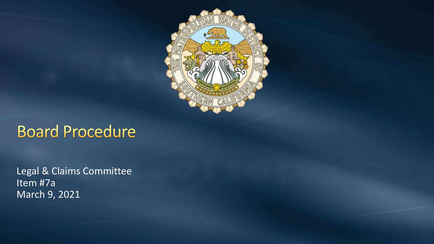

# **Board Procedure**

Legal & Claims Committee Item #7a March 9, 2021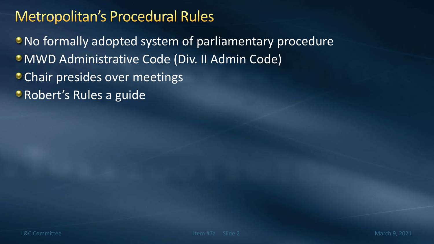## **Metropolitan's Procedural Rules**

No formally adopted system of parliamentary procedure MWD Administrative Code (Div. II Admin Code) **Chair presides over meetings • Robert's Rules a guide**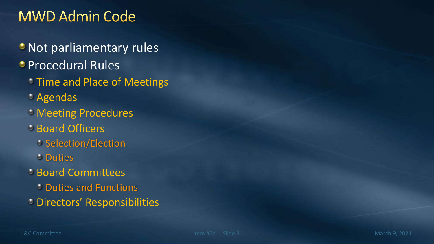## **MWD Admin Code**

- **Not parliamentary rules**
- **Procedural Rules** 
	- **Time and Place of Meetings**
	- Agendas
	- **Meeting Procedures**
	- Board Officers
		- **Selection/Election**
		- **Duties**
	- **Board Committees** 
		- **Duties and Functions**
	- Directors' Responsibilities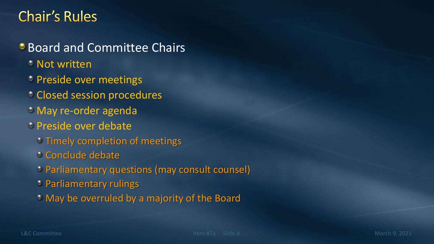#### **Chair's Rules**

**Board and Committee Chairs** 

- **Not written**
- **Preside over meetings**
- Closed session procedures
- May re-order agenda
- Preside over debate
	- Timely completion of meetings
	- Conclude debate
	- Parliamentary questions (may consult counsel)
	- **Parliamentary rulings**
	- May be overruled by a majority of the Board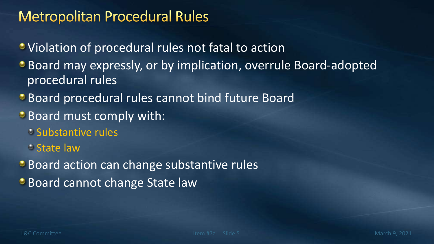#### **Metropolitan Procedural Rules**

Violation of procedural rules not fatal to action

- Board may expressly, or by implication, overrule Board-adopted procedural rules
- Board procedural rules cannot bind future Board
- **Board must comply with:** 
	- **Substantive rules**
	- State law
- Board action can change substantive rules
- **Board cannot change State law**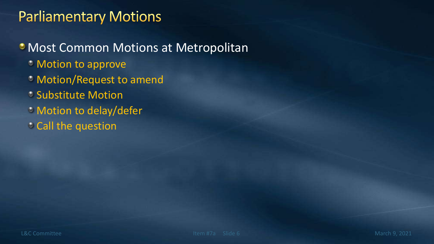#### **Parliamentary Motions**

**• Most Common Motions at Metropolitan** Motion to approve Motion/Request to amend Substitute Motion **Motion to delay/defer Call the question**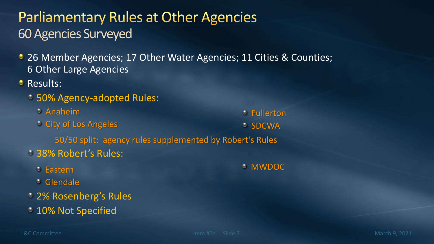## **Parliamentary Rules at Other Agencies** 60 Agencies Surveyed

- 26 Member Agencies; 17 Other Water Agencies; 11 Cities & Counties; 6 Other Large Agencies
- **Results:** 
	- 50% Agency-adopted Rules:
		- Anaheim
		- City of Los Angeles

Fullerton *C* SDCWA

50/50 split: agency rules supplemented by Robert's Rules

- 38% Robert's Rules:
	- Eastern
	- Glendale
- 2% Rosenberg's Rules
- **10% Not Specified**

#### MWDOC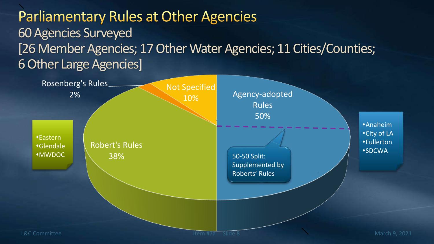## **Parliamentary Rules at Other Agencies** 60 Agencies Surveyed [26 Member Agencies; 17 Other Water Agencies; 11 Cities/Counties; 6 Other Large Agencies]

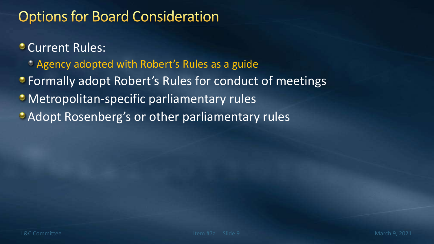### **Options for Board Consideration**

#### **Current Rules:**

- **Agency adopted with Robert's Rules as a guide**
- Formally adopt Robert's Rules for conduct of meetings
- **Metropolitan-specific parliamentary rules**
- Adopt Rosenberg's or other parliamentary rules